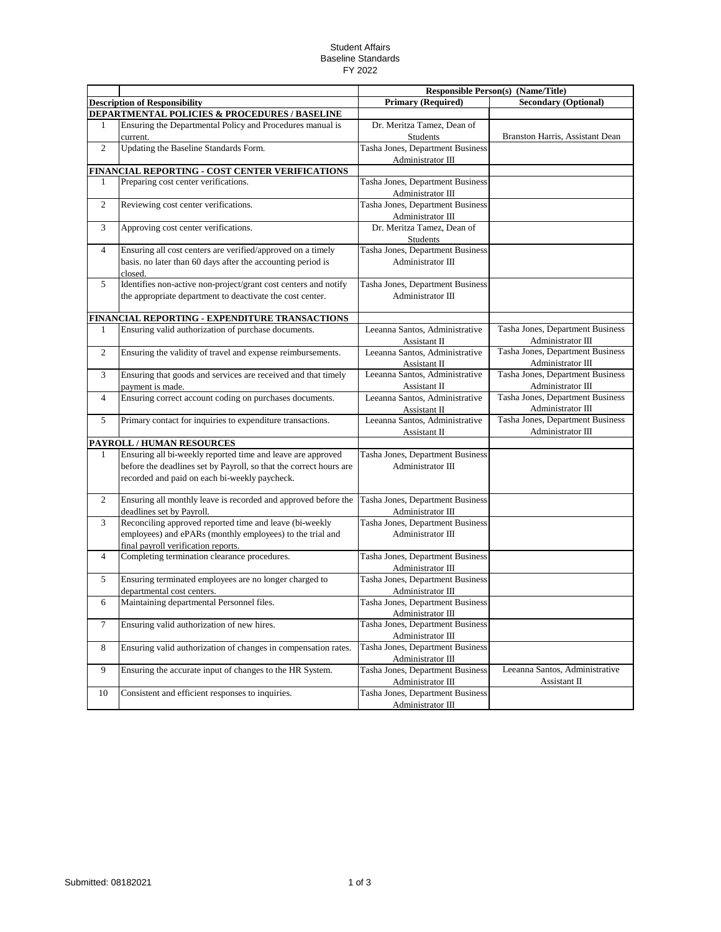## Student Affairs Baseline Standards FY 2022

|                |                                                                                                                                                                                    | <b>Responsible Person(s) (Name/Title)</b>             |                                                       |
|----------------|------------------------------------------------------------------------------------------------------------------------------------------------------------------------------------|-------------------------------------------------------|-------------------------------------------------------|
|                | <b>Description of Responsibility</b>                                                                                                                                               | <b>Primary (Required)</b>                             | <b>Secondary (Optional)</b>                           |
|                | DEPARTMENTAL POLICIES & PROCEDURES / BASELINE                                                                                                                                      |                                                       |                                                       |
| $\mathbf{1}$   | Ensuring the Departmental Policy and Procedures manual is<br>current.                                                                                                              | Dr. Meritza Tamez, Dean of<br>Students                | Branston Harris, Assistant Dean                       |
| $\overline{2}$ | Updating the Baseline Standards Form.                                                                                                                                              | Tasha Jones, Department Business                      |                                                       |
|                |                                                                                                                                                                                    | Administrator III                                     |                                                       |
|                | FINANCIAL REPORTING - COST CENTER VERIFICATIONS                                                                                                                                    |                                                       |                                                       |
| 1              | Preparing cost center verifications.                                                                                                                                               | Tasha Jones, Department Business<br>Administrator III |                                                       |
| $\overline{c}$ | Reviewing cost center verifications.                                                                                                                                               | Tasha Jones, Department Business<br>Administrator III |                                                       |
| 3              | Approving cost center verifications.                                                                                                                                               | Dr. Meritza Tamez, Dean of<br><b>Students</b>         |                                                       |
| $\overline{4}$ | Ensuring all cost centers are verified/approved on a timely                                                                                                                        | Tasha Jones, Department Business                      |                                                       |
|                | basis. no later than 60 days after the accounting period is<br>closed.                                                                                                             | Administrator III                                     |                                                       |
| 5              | Identifies non-active non-project/grant cost centers and notify                                                                                                                    | Tasha Jones, Department Business                      |                                                       |
|                | the appropriate department to deactivate the cost center.                                                                                                                          | Administrator III                                     |                                                       |
|                | FINANCIAL REPORTING - EXPENDITURE TRANSACTIONS                                                                                                                                     |                                                       |                                                       |
| 1              | Ensuring valid authorization of purchase documents.                                                                                                                                | Leeanna Santos, Administrative                        | Tasha Jones, Department Business<br>Administrator III |
| $\overline{2}$ | Ensuring the validity of travel and expense reimbursements.                                                                                                                        | Assistant II<br>Leeanna Santos, Administrative        | Tasha Jones, Department Business                      |
|                |                                                                                                                                                                                    | Assistant II                                          | Administrator III                                     |
| 3              | Ensuring that goods and services are received and that timely<br>payment is made.                                                                                                  | Leeanna Santos, Administrative<br>Assistant II        | Tasha Jones, Department Business<br>Administrator III |
| $\overline{4}$ | Ensuring correct account coding on purchases documents.                                                                                                                            | Leeanna Santos, Administrative                        | Tasha Jones, Department Business                      |
|                |                                                                                                                                                                                    | Assistant II                                          | Administrator III                                     |
| 5              | Primary contact for inquiries to expenditure transactions.                                                                                                                         | Leeanna Santos, Administrative                        | Tasha Jones, Department Business                      |
|                |                                                                                                                                                                                    | Assistant II                                          | Administrator III                                     |
|                | PAYROLL / HUMAN RESOURCES                                                                                                                                                          |                                                       |                                                       |
| 1              | Ensuring all bi-weekly reported time and leave are approved<br>before the deadlines set by Payroll, so that the correct hours are<br>recorded and paid on each bi-weekly paycheck. | Tasha Jones, Department Business<br>Administrator III |                                                       |
| $\overline{2}$ | Ensuring all monthly leave is recorded and approved before the<br>deadlines set by Payroll.                                                                                        | Tasha Jones, Department Business<br>Administrator III |                                                       |
| 3              | Reconciling approved reported time and leave (bi-weekly                                                                                                                            | Tasha Jones, Department Business                      |                                                       |
|                | employees) and ePARs (monthly employees) to the trial and<br>final payroll verification reports.                                                                                   | Administrator III                                     |                                                       |
| $\overline{4}$ | Completing termination clearance procedures.                                                                                                                                       | Tasha Jones, Department Business<br>Administrator III |                                                       |
| 5              | Ensuring terminated employees are no longer charged to<br>departmental cost centers.                                                                                               | Tasha Jones, Department Business<br>Administrator III |                                                       |
| 6              | Maintaining departmental Personnel files.                                                                                                                                          | Tasha Jones, Department Business<br>Administrator III |                                                       |
| $\tau$         | Ensuring valid authorization of new hires.                                                                                                                                         | Tasha Jones, Department Business<br>Administrator III |                                                       |
| 8              | Ensuring valid authorization of changes in compensation rates.                                                                                                                     | Tasha Jones, Department Business<br>Administrator III |                                                       |
| 9              | Ensuring the accurate input of changes to the HR System.                                                                                                                           | Tasha Jones, Department Business                      | Leeanna Santos, Administrative                        |
| 10             | Consistent and efficient responses to inquiries.                                                                                                                                   | Administrator III<br>Tasha Jones, Department Business | Assistant II                                          |
|                |                                                                                                                                                                                    | Administrator III                                     |                                                       |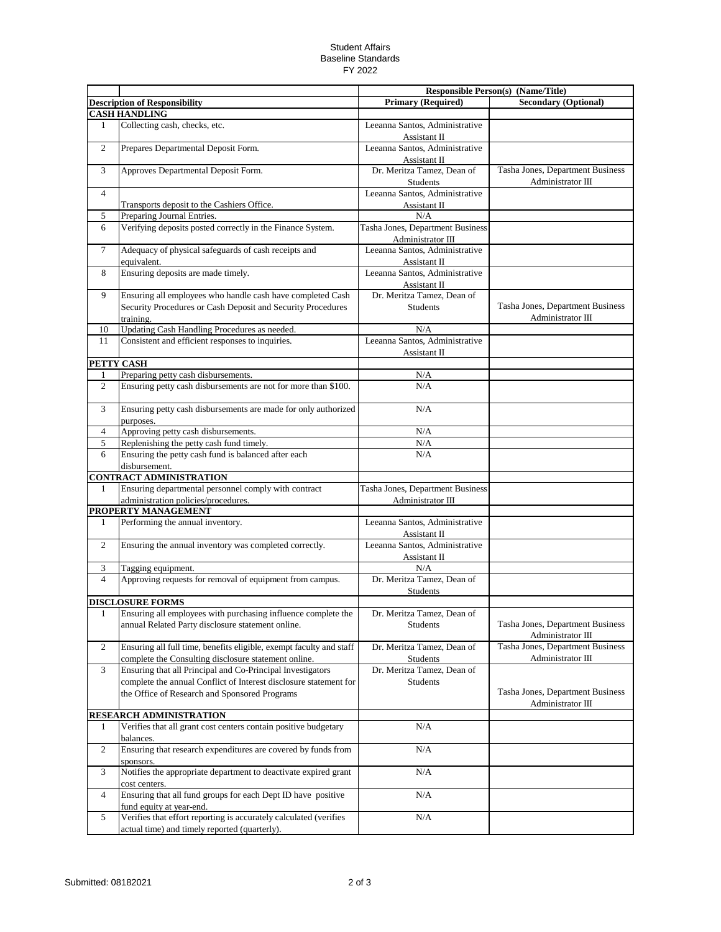## Student Affairs Baseline Standards FY 2022

|                      |                                                                                                                                        |                                                       | <b>Responsible Person(s) (Name/Title)</b>             |
|----------------------|----------------------------------------------------------------------------------------------------------------------------------------|-------------------------------------------------------|-------------------------------------------------------|
|                      | <b>Description of Responsibility</b>                                                                                                   | <b>Primary (Required)</b>                             | <b>Secondary (Optional)</b>                           |
| <b>CASH HANDLING</b> |                                                                                                                                        |                                                       |                                                       |
| 1                    | Collecting cash, checks, etc.                                                                                                          | Leeanna Santos, Administrative<br>Assistant II        |                                                       |
| $\overline{c}$       | Prepares Departmental Deposit Form.                                                                                                    | Leeanna Santos, Administrative<br>Assistant II        |                                                       |
| 3                    | Approves Departmental Deposit Form.                                                                                                    | Dr. Meritza Tamez, Dean of<br>Students                | Tasha Jones, Department Business<br>Administrator III |
| $\overline{4}$       |                                                                                                                                        | Leeanna Santos, Administrative                        |                                                       |
|                      | Transports deposit to the Cashiers Office.                                                                                             | Assistant II                                          |                                                       |
| 5                    | Preparing Journal Entries.                                                                                                             | N/A                                                   |                                                       |
| 6                    | Verifying deposits posted correctly in the Finance System.                                                                             | Tasha Jones, Department Business<br>Administrator III |                                                       |
| $\tau$               | Adequacy of physical safeguards of cash receipts and<br>equivalent.                                                                    | Leeanna Santos, Administrative<br>Assistant II        |                                                       |
| 8                    | Ensuring deposits are made timely.                                                                                                     | Leeanna Santos, Administrative<br>Assistant II        |                                                       |
| 9                    | Ensuring all employees who handle cash have completed Cash<br>Security Procedures or Cash Deposit and Security Procedures<br>training. | Dr. Meritza Tamez, Dean of<br>Students                | Tasha Jones, Department Business<br>Administrator III |
| 10                   | Updating Cash Handling Procedures as needed.                                                                                           | N/A                                                   |                                                       |
| 11                   | Consistent and efficient responses to inquiries.                                                                                       | Leeanna Santos, Administrative<br>Assistant II        |                                                       |
|                      | PETTY CASH                                                                                                                             |                                                       |                                                       |
| 1                    | Preparing petty cash disbursements.                                                                                                    | N/A                                                   |                                                       |
| $\overline{2}$       | Ensuring petty cash disbursements are not for more than \$100.                                                                         | N/A                                                   |                                                       |
| 3                    | Ensuring petty cash disbursements are made for only authorized<br>purposes.                                                            | N/A                                                   |                                                       |
| 4                    | Approving petty cash disbursements.                                                                                                    | N/A                                                   |                                                       |
| 5                    | Replenishing the petty cash fund timely.                                                                                               | N/A                                                   |                                                       |
| 6                    | Ensuring the petty cash fund is balanced after each<br>disbursement.                                                                   | N/A                                                   |                                                       |
|                      | <b>CONTRACT ADMINISTRATION</b>                                                                                                         |                                                       |                                                       |
| 1                    | Ensuring departmental personnel comply with contract                                                                                   | Tasha Jones, Department Business                      |                                                       |
|                      | administration policies/procedures.                                                                                                    | Administrator III                                     |                                                       |
|                      | PROPERTY MANAGEMENT                                                                                                                    |                                                       |                                                       |
| 1                    | Performing the annual inventory.                                                                                                       | Leeanna Santos, Administrative<br>Assistant II        |                                                       |
| $\mathfrak{2}$       | Ensuring the annual inventory was completed correctly.                                                                                 | Leeanna Santos, Administrative<br>Assistant II        |                                                       |
| 3                    | Tagging equipment.                                                                                                                     | N/A                                                   |                                                       |
| $\overline{4}$       | Approving requests for removal of equipment from campus.                                                                               | Dr. Meritza Tamez, Dean of<br>Students                |                                                       |
|                      | <b>DISCLOSURE FORMS</b>                                                                                                                |                                                       |                                                       |
| 1                    | Ensuring all employees with purchasing influence complete the<br>annual Related Party disclosure statement online.                     | Dr. Meritza Tamez, Dean of<br>Students                | Tasha Jones, Department Business<br>Administrator III |
| $\overline{c}$       | Ensuring all full time, benefits eligible, exempt faculty and staff<br>complete the Consulting disclosure statement online.            | Dr. Meritza Tamez, Dean of<br>Students                | Tasha Jones, Department Business<br>Administrator III |
| 3                    | Ensuring that all Principal and Co-Principal Investigators<br>complete the annual Conflict of Interest disclosure statement for        | Dr. Meritza Tamez, Dean of<br>Students                |                                                       |
|                      | the Office of Research and Sponsored Programs                                                                                          |                                                       | Tasha Jones, Department Business<br>Administrator III |
|                      | RESEARCH ADMINISTRATION                                                                                                                |                                                       |                                                       |
| 1                    | Verifies that all grant cost centers contain positive budgetary<br>balances.                                                           | N/A                                                   |                                                       |
| $\overline{c}$       | Ensuring that research expenditures are covered by funds from<br>sponsors.                                                             | N/A                                                   |                                                       |
| 3                    | Notifies the appropriate department to deactivate expired grant<br>cost centers.                                                       | N/A                                                   |                                                       |
| 4                    | Ensuring that all fund groups for each Dept ID have positive<br>fund equity at year-end.                                               | N/A                                                   |                                                       |
| 5                    | Verifies that effort reporting is accurately calculated (verifies<br>actual time) and timely reported (quarterly).                     | $\rm N/A$                                             |                                                       |